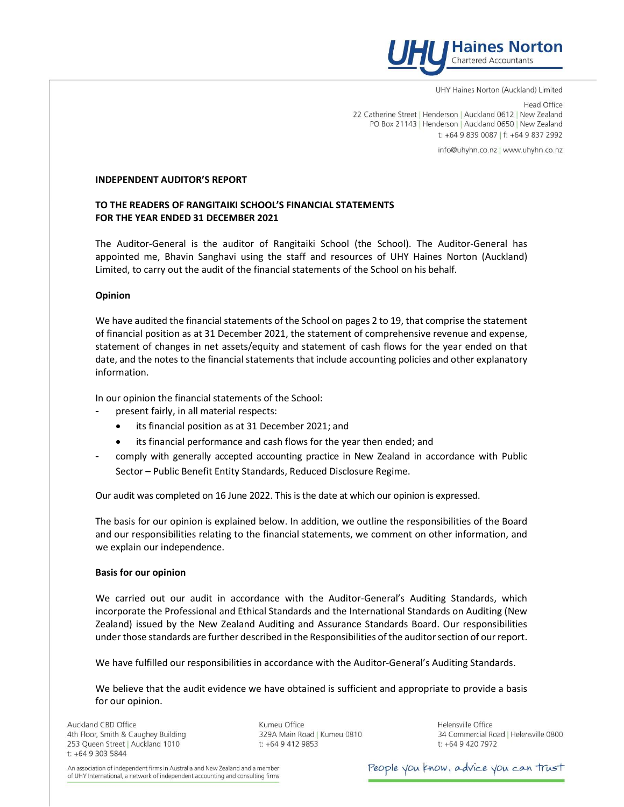

UHY Haines Norton (Auckland) Limited

**Head Office** 22 Catherine Street | Henderson | Auckland 0612 | New Zealand PO Box 21143 | Henderson | Auckland 0650 | New Zealand t: +64 9 839 0087 | f: +64 9 837 2992

info@uhyhn.co.nz | www.uhyhn.co.nz

# INDEPENDENT AUDITOR'S REPORT

# TO THE READERS OF RANGITAIKI SCHOOL'S FINANCIAL STATEMENTS FOR THE YEAR ENDED 31 DECEMBER 2021

The Auditor-General is the auditor of Rangitaiki School (the School). The Auditor-General has appointed me, Bhavin Sanghavi using the staff and resources of UHY Haines Norton (Auckland) Limited, to carry out the audit of the financial statements of the School on his behalf.

# Opinion

We have audited the financial statements of the School on pages 2 to 19, that comprise the statement of financial position as at 31 December 2021, the statement of comprehensive revenue and expense, statement of changes in net assets/equity and statement of cash flows for the year ended on that date, and the notes to the financial statements that include accounting policies and other explanatory information.

In our opinion the financial statements of the School:

- present fairly, in all material respects:
	- its financial position as at 31 December 2021; and
	- its financial performance and cash flows for the year then ended; and
- comply with generally accepted accounting practice in New Zealand in accordance with Public Sector – Public Benefit Entity Standards, Reduced Disclosure Regime.

Our audit was completed on 16 June 2022. This is the date at which our opinion is expressed.

The basis for our opinion is explained below. In addition, we outline the responsibilities of the Board and our responsibilities relating to the financial statements, we comment on other information, and we explain our independence.

## Basis for our opinion

We carried out our audit in accordance with the Auditor-General's Auditing Standards, which incorporate the Professional and Ethical Standards and the International Standards on Auditing (New Zealand) issued by the New Zealand Auditing and Assurance Standards Board. Our responsibilities under those standards are further described in the Responsibilities of the auditor section of our report.

We have fulfilled our responsibilities in accordance with the Auditor-General's Auditing Standards.

We believe that the audit evidence we have obtained is sufficient and appropriate to provide a basis for our opinion.

Auckland CBD Office 4th Floor, Smith & Caughey Building 253 Queen Street | Auckland 1010 t: +64 9 303 5844

Kumeu Office 329A Main Road | Kumeu 0810 t: +64 9 412 9853

Helensville Office 34 Commercial Road | Helensville 0800 t: +64 9 420 7972

An association of independent firms in Australia and New Zealand and a member of UHY International, a network of independent accounting and consulting firms People you know, advice you can trust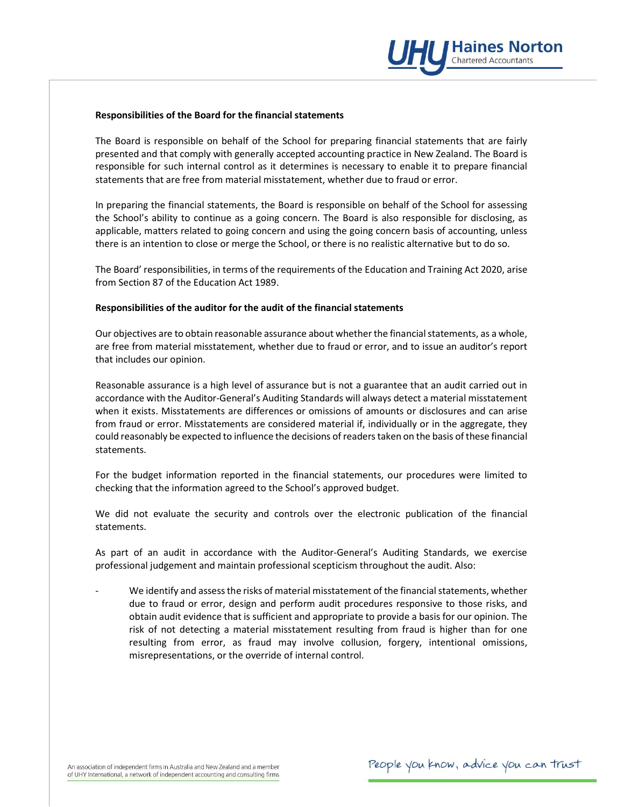

#### Responsibilities of the Board for the financial statements

The Board is responsible on behalf of the School for preparing financial statements that are fairly presented and that comply with generally accepted accounting practice in New Zealand. The Board is responsible for such internal control as it determines is necessary to enable it to prepare financial statements that are free from material misstatement, whether due to fraud or error.

In preparing the financial statements, the Board is responsible on behalf of the School for assessing the School's ability to continue as a going concern. The Board is also responsible for disclosing, as applicable, matters related to going concern and using the going concern basis of accounting, unless there is an intention to close or merge the School, or there is no realistic alternative but to do so.

The Board' responsibilities, in terms of the requirements of the Education and Training Act 2020, arise from Section 87 of the Education Act 1989.

# Responsibilities of the auditor for the audit of the financial statements

Our objectives are to obtain reasonable assurance about whether the financial statements, as a whole, are free from material misstatement, whether due to fraud or error, and to issue an auditor's report that includes our opinion.

Reasonable assurance is a high level of assurance but is not a guarantee that an audit carried out in accordance with the Auditor-General's Auditing Standards will always detect a material misstatement when it exists. Misstatements are differences or omissions of amounts or disclosures and can arise from fraud or error. Misstatements are considered material if, individually or in the aggregate, they could reasonably be expected to influence the decisions of readers taken on the basis of these financial statements.

For the budget information reported in the financial statements, our procedures were limited to checking that the information agreed to the School's approved budget.

We did not evaluate the security and controls over the electronic publication of the financial statements.

As part of an audit in accordance with the Auditor-General's Auditing Standards, we exercise professional judgement and maintain professional scepticism throughout the audit. Also:

We identify and assess the risks of material misstatement of the financial statements, whether due to fraud or error, design and perform audit procedures responsive to those risks, and obtain audit evidence that is sufficient and appropriate to provide a basis for our opinion. The risk of not detecting a material misstatement resulting from fraud is higher than for one resulting from error, as fraud may involve collusion, forgery, intentional omissions, misrepresentations, or the override of internal control.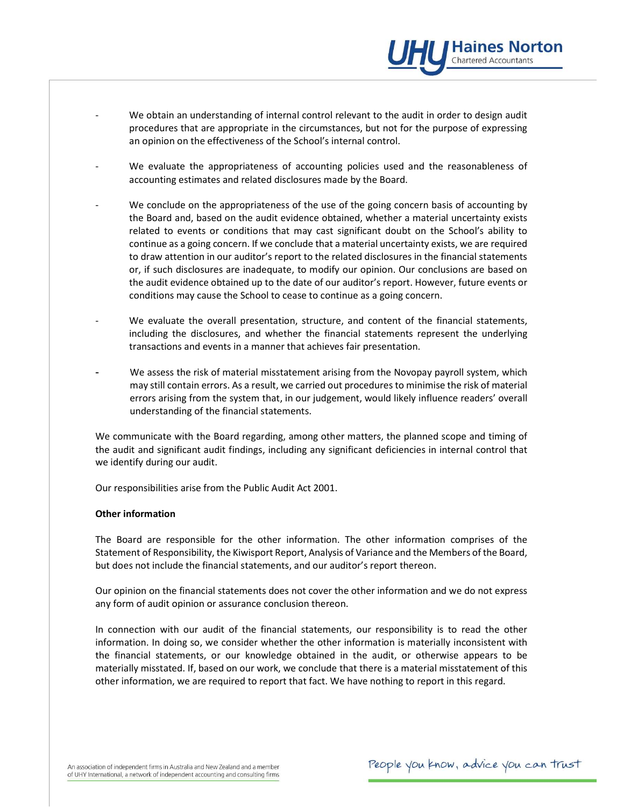- We obtain an understanding of internal control relevant to the audit in order to design audit procedures that are appropriate in the circumstances, but not for the purpose of expressing an opinion on the effectiveness of the School's internal control.
- We evaluate the appropriateness of accounting policies used and the reasonableness of accounting estimates and related disclosures made by the Board.
- We conclude on the appropriateness of the use of the going concern basis of accounting by the Board and, based on the audit evidence obtained, whether a material uncertainty exists related to events or conditions that may cast significant doubt on the School's ability to continue as a going concern. If we conclude that a material uncertainty exists, we are required to draw attention in our auditor's report to the related disclosures in the financial statements or, if such disclosures are inadequate, to modify our opinion. Our conclusions are based on the audit evidence obtained up to the date of our auditor's report. However, future events or conditions may cause the School to cease to continue as a going concern.
- We evaluate the overall presentation, structure, and content of the financial statements, including the disclosures, and whether the financial statements represent the underlying transactions and events in a manner that achieves fair presentation.
- We assess the risk of material misstatement arising from the Novopay payroll system, which may still contain errors. As a result, we carried out procedures to minimise the risk of material errors arising from the system that, in our judgement, would likely influence readers' overall understanding of the financial statements.

We communicate with the Board regarding, among other matters, the planned scope and timing of the audit and significant audit findings, including any significant deficiencies in internal control that we identify during our audit.

Our responsibilities arise from the Public Audit Act 2001.

## Other information

The Board are responsible for the other information. The other information comprises of the Statement of Responsibility, the Kiwisport Report, Analysis of Variance and the Members of the Board, but does not include the financial statements, and our auditor's report thereon.

Our opinion on the financial statements does not cover the other information and we do not express any form of audit opinion or assurance conclusion thereon.

In connection with our audit of the financial statements, our responsibility is to read the other information. In doing so, we consider whether the other information is materially inconsistent with the financial statements, or our knowledge obtained in the audit, or otherwise appears to be materially misstated. If, based on our work, we conclude that there is a material misstatement of this other information, we are required to report that fact. We have nothing to report in this regard.

**Haines Norton** Chartered Accountants